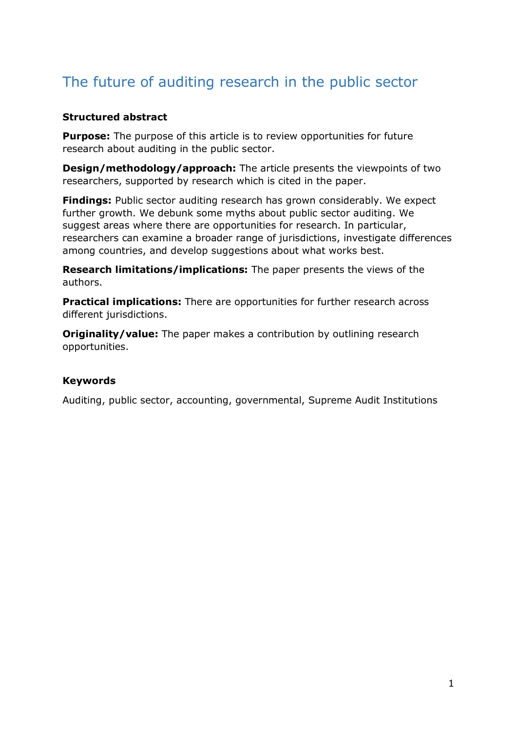# The future of auditing research in the public sector

# **Structured abstract**

**Purpose:** The purpose of this article is to review opportunities for future research about auditing in the public sector.

**Design/methodology/approach:** The article presents the viewpoints of two researchers, supported by research which is cited in the paper.

**Findings:** Public sector auditing research has grown considerably. We expect further growth. We debunk some myths about public sector auditing. We suggest areas where there are opportunities for research. In particular, researchers can examine a broader range of jurisdictions, investigate differences among countries, and develop suggestions about what works best.

**Research limitations/implications:** The paper presents the views of the authors.

**Practical implications:** There are opportunities for further research across different jurisdictions.

**Originality/value:** The paper makes a contribution by outlining research opportunities.

# **Keywords**

Auditing, public sector, accounting, governmental, Supreme Audit Institutions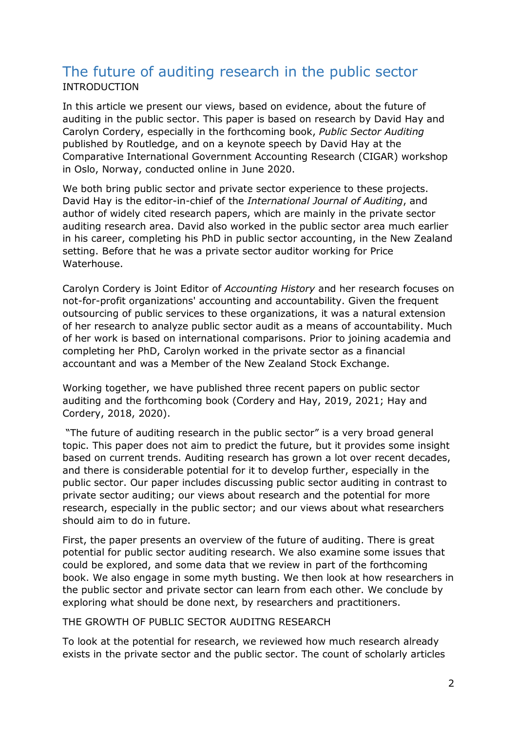# The future of auditing research in the public sector INTRODUCTION

In this article we present our views, based on evidence, about the future of auditing in the public sector. This paper is based on research by David Hay and Carolyn Cordery, especially in the forthcoming book, *Public Sector Auditing* published by Routledge, and on a keynote speech by David Hay at the Comparative International Government Accounting Research (CIGAR) workshop in Oslo, Norway, conducted online in June 2020.

We both bring public sector and private sector experience to these projects. David Hay is the editor-in-chief of the *International Journal of Auditing*, and author of widely cited research papers, which are mainly in the private sector auditing research area. David also worked in the public sector area much earlier in his career, completing his PhD in public sector accounting, in the New Zealand setting. Before that he was a private sector auditor working for Price Waterhouse.

Carolyn Cordery is Joint Editor of *Accounting History* and her research focuses on not-for-profit organizations' accounting and accountability. Given the frequent outsourcing of public services to these organizations, it was a natural extension of her research to analyze public sector audit as a means of accountability. Much of her work is based on international comparisons. Prior to joining academia and completing her PhD, Carolyn worked in the private sector as a financial accountant and was a Member of the New Zealand Stock Exchange.

Working together, we have published three recent papers on public sector auditing and the forthcoming book (Cordery and Hay, 2019, 2021; Hay and Cordery, 2018, 2020).

"The future of auditing research in the public sector" is a very broad general topic. This paper does not aim to predict the future, but it provides some insight based on current trends. Auditing research has grown a lot over recent decades, and there is considerable potential for it to develop further, especially in the public sector. Our paper includes discussing public sector auditing in contrast to private sector auditing; our views about research and the potential for more research, especially in the public sector; and our views about what researchers should aim to do in future.

First, the paper presents an overview of the future of auditing. There is great potential for public sector auditing research. We also examine some issues that could be explored, and some data that we review in part of the forthcoming book. We also engage in some myth busting. We then look at how researchers in the public sector and private sector can learn from each other. We conclude by exploring what should be done next, by researchers and practitioners.

#### THE GROWTH OF PUBLIC SECTOR AUDITNG RESEARCH

To look at the potential for research, we reviewed how much research already exists in the private sector and the public sector. The count of scholarly articles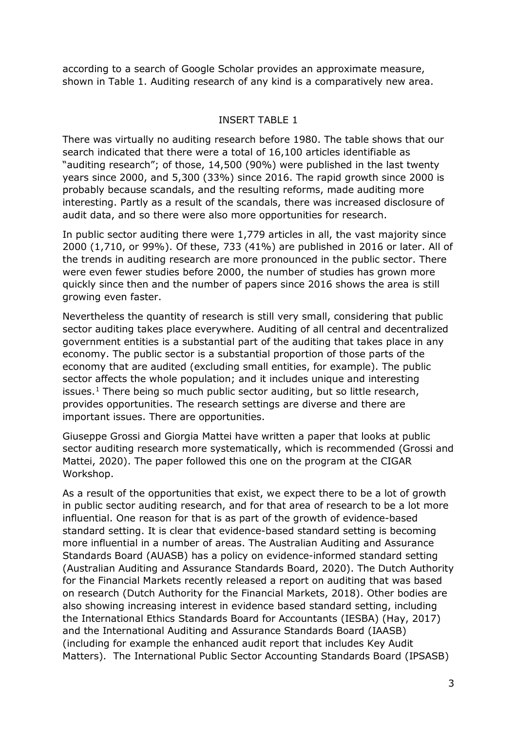according to a search of Google Scholar provides an approximate measure, shown in Table 1. Auditing research of any kind is a comparatively new area.

# INSERT TABLE 1

There was virtually no auditing research before 1980. The table shows that our search indicated that there were a total of 16,100 articles identifiable as "auditing research"; of those, 14,500 (90%) were published in the last twenty years since 2000, and 5,300 (33%) since 2016. The rapid growth since 2000 is probably because scandals, and the resulting reforms, made auditing more interesting. Partly as a result of the scandals, there was increased disclosure of audit data, and so there were also more opportunities for research.

In public sector auditing there were 1,779 articles in all, the vast majority since 2000 (1,710, or 99%). Of these, 733 (41%) are published in 2016 or later. All of the trends in auditing research are more pronounced in the public sector. There were even fewer studies before 2000, the number of studies has grown more quickly since then and the number of papers since 2016 shows the area is still growing even faster.

Nevertheless the quantity of research is still very small, considering that public sector auditing takes place everywhere. Auditing of all central and decentralized government entities is a substantial part of the auditing that takes place in any economy. The public sector is a substantial proportion of those parts of the economy that are audited (excluding small entities, for example). The public sector affects the whole population; and it includes unique and interesting issues.<sup>[1](#page-12-0)</sup> There being so much public sector auditing, but so little research, provides opportunities. The research settings are diverse and there are important issues. There are opportunities.

Giuseppe Grossi and Giorgia Mattei have written a paper that looks at public sector auditing research more systematically, which is recommended (Grossi and Mattei, 2020). The paper followed this one on the program at the CIGAR Workshop.

As a result of the opportunities that exist, we expect there to be a lot of growth in public sector auditing research, and for that area of research to be a lot more influential. One reason for that is as part of the growth of evidence-based standard setting. It is clear that evidence-based standard setting is becoming more influential in a number of areas. The Australian Auditing and Assurance Standards Board (AUASB) has a policy on evidence-informed standard setting (Australian Auditing and Assurance Standards Board, 2020). The Dutch Authority for the Financial Markets recently released a report on auditing that was based on research (Dutch Authority for the Financial Markets, 2018). Other bodies are also showing increasing interest in evidence based standard setting, including the International Ethics Standards Board for Accountants (IESBA) (Hay, 2017) and the International Auditing and Assurance Standards Board (IAASB) (including for example the enhanced audit report that includes Key Audit Matters). The International Public Sector Accounting Standards Board (IPSASB)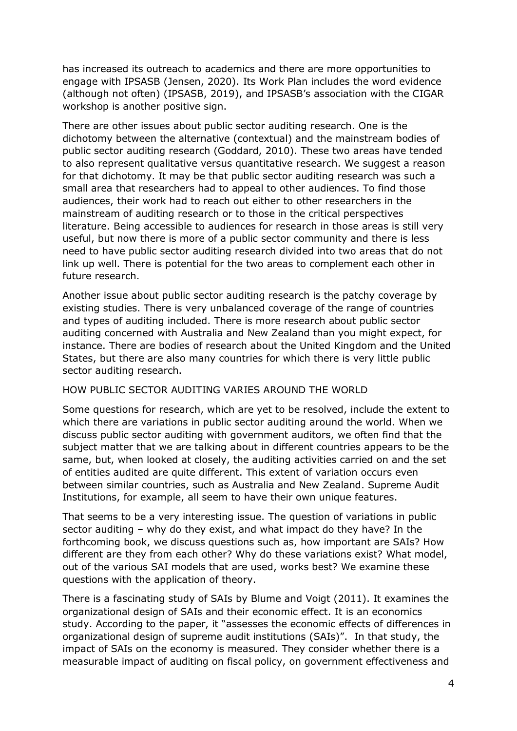has increased its outreach to academics and there are more opportunities to engage with IPSASB (Jensen, 2020). Its Work Plan includes the word evidence (although not often) (IPSASB, 2019), and IPSASB's association with the CIGAR workshop is another positive sign.

There are other issues about public sector auditing research. One is the dichotomy between the alternative (contextual) and the mainstream bodies of public sector auditing research (Goddard, 2010). These two areas have tended to also represent qualitative versus quantitative research. We suggest a reason for that dichotomy. It may be that public sector auditing research was such a small area that researchers had to appeal to other audiences. To find those audiences, their work had to reach out either to other researchers in the mainstream of auditing research or to those in the critical perspectives literature. Being accessible to audiences for research in those areas is still very useful, but now there is more of a public sector community and there is less need to have public sector auditing research divided into two areas that do not link up well. There is potential for the two areas to complement each other in future research.

Another issue about public sector auditing research is the patchy coverage by existing studies. There is very unbalanced coverage of the range of countries and types of auditing included. There is more research about public sector auditing concerned with Australia and New Zealand than you might expect, for instance. There are bodies of research about the United Kingdom and the United States, but there are also many countries for which there is very little public sector auditing research.

# HOW PUBLIC SECTOR AUDITING VARIES AROUND THE WORLD

Some questions for research, which are yet to be resolved, include the extent to which there are variations in public sector auditing around the world. When we discuss public sector auditing with government auditors, we often find that the subject matter that we are talking about in different countries appears to be the same, but, when looked at closely, the auditing activities carried on and the set of entities audited are quite different. This extent of variation occurs even between similar countries, such as Australia and New Zealand. Supreme Audit Institutions, for example, all seem to have their own unique features.

That seems to be a very interesting issue. The question of variations in public sector auditing – why do they exist, and what impact do they have? In the forthcoming book, we discuss questions such as, how important are SAIs? How different are they from each other? Why do these variations exist? What model, out of the various SAI models that are used, works best? We examine these questions with the application of theory.

There is a fascinating study of SAIs by Blume and Voigt (2011). It examines the organizational design of SAIs and their economic effect. It is an economics study. According to the paper, it "assesses the economic effects of differences in organizational design of supreme audit institutions (SAIs)". In that study, the impact of SAIs on the economy is measured. They consider whether there is a measurable impact of auditing on fiscal policy, on government effectiveness and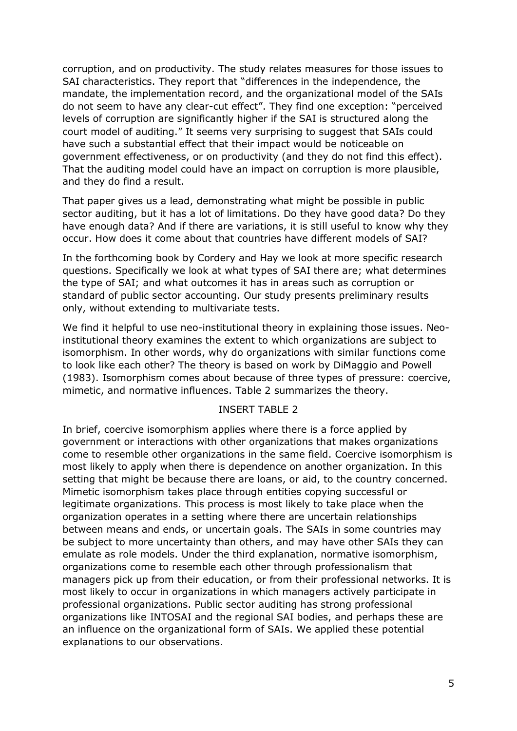corruption, and on productivity. The study relates measures for those issues to SAI characteristics. They report that "differences in the independence, the mandate, the implementation record, and the organizational model of the SAIs do not seem to have any clear-cut effect". They find one exception: "perceived levels of corruption are significantly higher if the SAI is structured along the court model of auditing." It seems very surprising to suggest that SAIs could have such a substantial effect that their impact would be noticeable on government effectiveness, or on productivity (and they do not find this effect). That the auditing model could have an impact on corruption is more plausible, and they do find a result.

That paper gives us a lead, demonstrating what might be possible in public sector auditing, but it has a lot of limitations. Do they have good data? Do they have enough data? And if there are variations, it is still useful to know why they occur. How does it come about that countries have different models of SAI?

In the forthcoming book by Cordery and Hay we look at more specific research questions. Specifically we look at what types of SAI there are; what determines the type of SAI; and what outcomes it has in areas such as corruption or standard of public sector accounting. Our study presents preliminary results only, without extending to multivariate tests.

We find it helpful to use neo-institutional theory in explaining those issues. Neoinstitutional theory examines the extent to which organizations are subject to isomorphism. In other words, why do organizations with similar functions come to look like each other? The theory is based on work by DiMaggio and Powell (1983). Isomorphism comes about because of three types of pressure: coercive, mimetic, and normative influences. Table 2 summarizes the theory.

#### INSERT TABLE 2

In brief, coercive isomorphism applies where there is a force applied by government or interactions with other organizations that makes organizations come to resemble other organizations in the same field. Coercive isomorphism is most likely to apply when there is dependence on another organization. In this setting that might be because there are loans, or aid, to the country concerned. Mimetic isomorphism takes place through entities copying successful or legitimate organizations. This process is most likely to take place when the organization operates in a setting where there are uncertain relationships between means and ends, or uncertain goals. The SAIs in some countries may be subject to more uncertainty than others, and may have other SAIs they can emulate as role models. Under the third explanation, normative isomorphism, organizations come to resemble each other through professionalism that managers pick up from their education, or from their professional networks. It is most likely to occur in organizations in which managers actively participate in professional organizations. Public sector auditing has strong professional organizations like INTOSAI and the regional SAI bodies, and perhaps these are an influence on the organizational form of SAIs. We applied these potential explanations to our observations.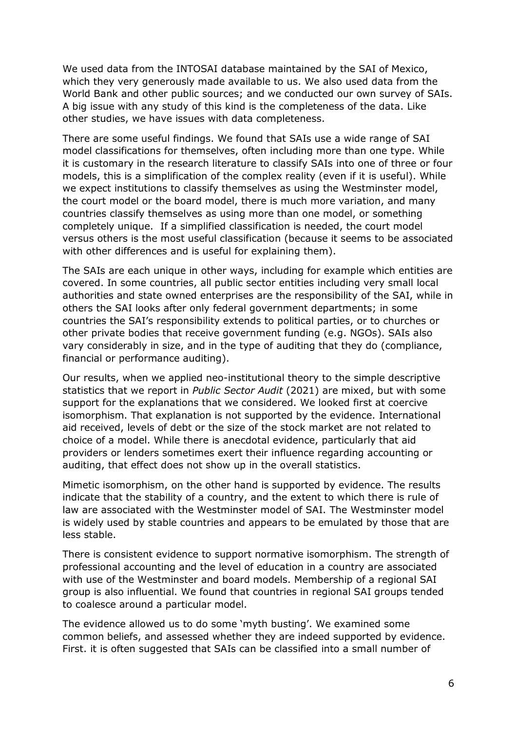We used data from the INTOSAI database maintained by the SAI of Mexico, which they very generously made available to us. We also used data from the World Bank and other public sources; and we conducted our own survey of SAIs. A big issue with any study of this kind is the completeness of the data. Like other studies, we have issues with data completeness.

There are some useful findings. We found that SAIs use a wide range of SAI model classifications for themselves, often including more than one type. While it is customary in the research literature to classify SAIs into one of three or four models, this is a simplification of the complex reality (even if it is useful). While we expect institutions to classify themselves as using the Westminster model, the court model or the board model, there is much more variation, and many countries classify themselves as using more than one model, or something completely unique. If a simplified classification is needed, the court model versus others is the most useful classification (because it seems to be associated with other differences and is useful for explaining them).

The SAIs are each unique in other ways, including for example which entities are covered. In some countries, all public sector entities including very small local authorities and state owned enterprises are the responsibility of the SAI, while in others the SAI looks after only federal government departments; in some countries the SAI's responsibility extends to political parties, or to churches or other private bodies that receive government funding (e.g. NGOs). SAIs also vary considerably in size, and in the type of auditing that they do (compliance, financial or performance auditing).

Our results, when we applied neo-institutional theory to the simple descriptive statistics that we report in *Public Sector Audit* (2021) are mixed, but with some support for the explanations that we considered. We looked first at coercive isomorphism. That explanation is not supported by the evidence. International aid received, levels of debt or the size of the stock market are not related to choice of a model. While there is anecdotal evidence, particularly that aid providers or lenders sometimes exert their influence regarding accounting or auditing, that effect does not show up in the overall statistics.

Mimetic isomorphism, on the other hand is supported by evidence. The results indicate that the stability of a country, and the extent to which there is rule of law are associated with the Westminster model of SAI. The Westminster model is widely used by stable countries and appears to be emulated by those that are less stable.

There is consistent evidence to support normative isomorphism. The strength of professional accounting and the level of education in a country are associated with use of the Westminster and board models. Membership of a regional SAI group is also influential. We found that countries in regional SAI groups tended to coalesce around a particular model.

The evidence allowed us to do some 'myth busting'. We examined some common beliefs, and assessed whether they are indeed supported by evidence. First. it is often suggested that SAIs can be classified into a small number of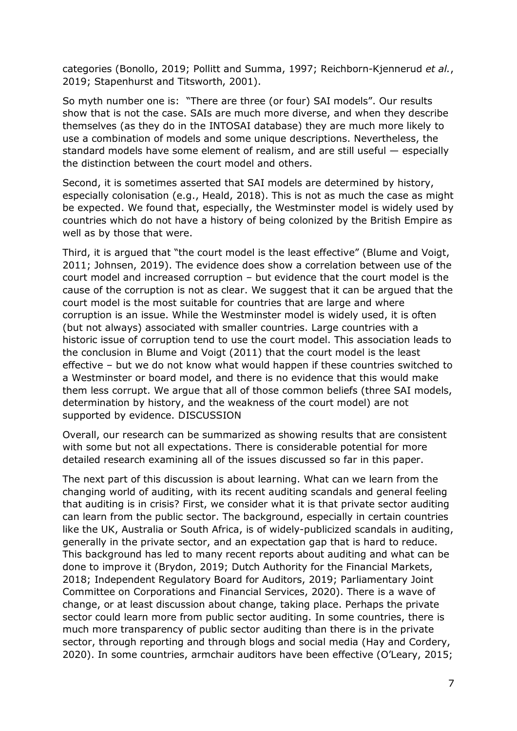categories (Bonollo, 2019; Pollitt and Summa, 1997; Reichborn-Kjennerud *et al.*, 2019; Stapenhurst and Titsworth, 2001).

So myth number one is: "There are three (or four) SAI models". Our results show that is not the case. SAIs are much more diverse, and when they describe themselves (as they do in the INTOSAI database) they are much more likely to use a combination of models and some unique descriptions. Nevertheless, the standard models have some element of realism, and are still useful  $-$  especially the distinction between the court model and others.

Second, it is sometimes asserted that SAI models are determined by history, especially colonisation (e.g., Heald, 2018). This is not as much the case as might be expected. We found that, especially, the Westminster model is widely used by countries which do not have a history of being colonized by the British Empire as well as by those that were.

Third, it is argued that "the court model is the least effective" (Blume and Voigt, 2011; Johnsen, 2019). The evidence does show a correlation between use of the court model and increased corruption – but evidence that the court model is the cause of the corruption is not as clear. We suggest that it can be argued that the court model is the most suitable for countries that are large and where corruption is an issue. While the Westminster model is widely used, it is often (but not always) associated with smaller countries. Large countries with a historic issue of corruption tend to use the court model. This association leads to the conclusion in Blume and Voigt (2011) that the court model is the least effective – but we do not know what would happen if these countries switched to a Westminster or board model, and there is no evidence that this would make them less corrupt. We argue that all of those common beliefs (three SAI models, determination by history, and the weakness of the court model) are not supported by evidence. DISCUSSION

Overall, our research can be summarized as showing results that are consistent with some but not all expectations. There is considerable potential for more detailed research examining all of the issues discussed so far in this paper.

The next part of this discussion is about learning. What can we learn from the changing world of auditing, with its recent auditing scandals and general feeling that auditing is in crisis? First, we consider what it is that private sector auditing can learn from the public sector. The background, especially in certain countries like the UK, Australia or South Africa, is of widely-publicized scandals in auditing, generally in the private sector, and an expectation gap that is hard to reduce. This background has led to many recent reports about auditing and what can be done to improve it (Brydon, 2019; Dutch Authority for the Financial Markets, 2018; Independent Regulatory Board for Auditors, 2019; Parliamentary Joint Committee on Corporations and Financial Services, 2020). There is a wave of change, or at least discussion about change, taking place. Perhaps the private sector could learn more from public sector auditing. In some countries, there is much more transparency of public sector auditing than there is in the private sector, through reporting and through blogs and social media (Hay and Cordery, 2020). In some countries, armchair auditors have been effective (O'Leary, 2015;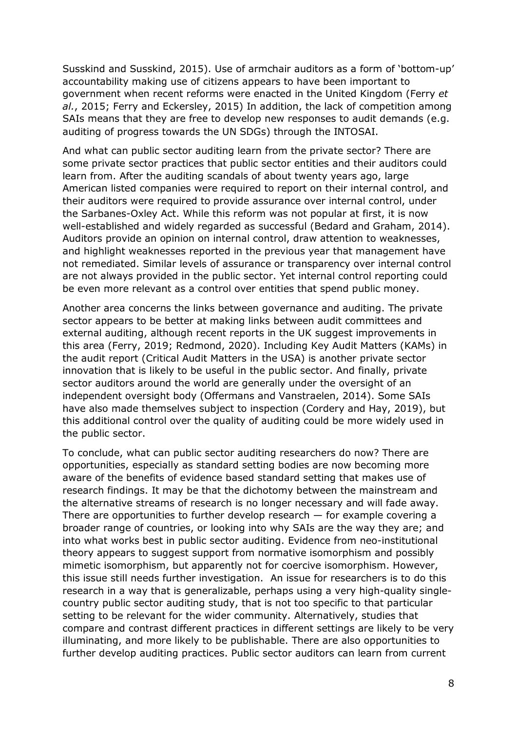Susskind and Susskind, 2015). Use of armchair auditors as a form of 'bottom-up' accountability making use of citizens appears to have been important to government when recent reforms were enacted in the United Kingdom (Ferry *et al.*, 2015; Ferry and Eckersley, 2015) In addition, the lack of competition among SAIs means that they are free to develop new responses to audit demands (e.g. auditing of progress towards the UN SDGs) through the INTOSAI.

And what can public sector auditing learn from the private sector? There are some private sector practices that public sector entities and their auditors could learn from. After the auditing scandals of about twenty years ago, large American listed companies were required to report on their internal control, and their auditors were required to provide assurance over internal control, under the Sarbanes-Oxley Act. While this reform was not popular at first, it is now well-established and widely regarded as successful (Bedard and Graham, 2014). Auditors provide an opinion on internal control, draw attention to weaknesses, and highlight weaknesses reported in the previous year that management have not remediated. Similar levels of assurance or transparency over internal control are not always provided in the public sector. Yet internal control reporting could be even more relevant as a control over entities that spend public money.

Another area concerns the links between governance and auditing. The private sector appears to be better at making links between audit committees and external auditing, although recent reports in the UK suggest improvements in this area (Ferry, 2019; Redmond, 2020). Including Key Audit Matters (KAMs) in the audit report (Critical Audit Matters in the USA) is another private sector innovation that is likely to be useful in the public sector. And finally, private sector auditors around the world are generally under the oversight of an independent oversight body (Offermans and Vanstraelen, 2014). Some SAIs have also made themselves subject to inspection (Cordery and Hay, 2019), but this additional control over the quality of auditing could be more widely used in the public sector.

To conclude, what can public sector auditing researchers do now? There are opportunities, especially as standard setting bodies are now becoming more aware of the benefits of evidence based standard setting that makes use of research findings. It may be that the dichotomy between the mainstream and the alternative streams of research is no longer necessary and will fade away. There are opportunities to further develop research  $-$  for example covering a broader range of countries, or looking into why SAIs are the way they are; and into what works best in public sector auditing. Evidence from neo-institutional theory appears to suggest support from normative isomorphism and possibly mimetic isomorphism, but apparently not for coercive isomorphism. However, this issue still needs further investigation. An issue for researchers is to do this research in a way that is generalizable, perhaps using a very high-quality singlecountry public sector auditing study, that is not too specific to that particular setting to be relevant for the wider community. Alternatively, studies that compare and contrast different practices in different settings are likely to be very illuminating, and more likely to be publishable. There are also opportunities to further develop auditing practices. Public sector auditors can learn from current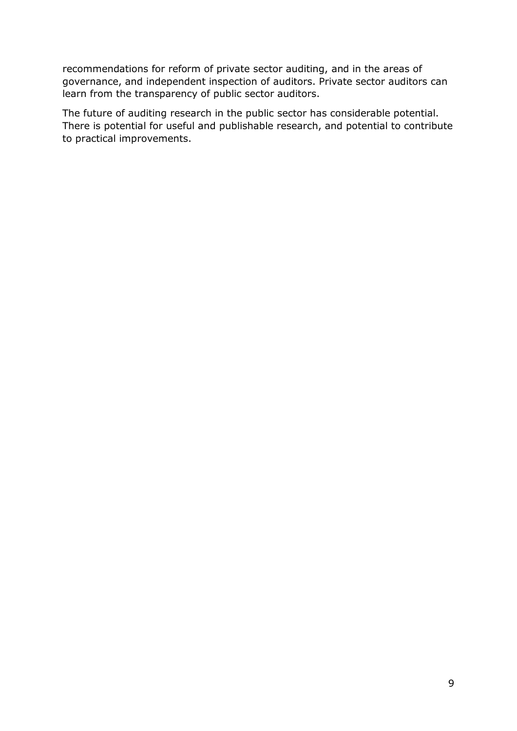recommendations for reform of private sector auditing, and in the areas of governance, and independent inspection of auditors. Private sector auditors can learn from the transparency of public sector auditors.

The future of auditing research in the public sector has considerable potential. There is potential for useful and publishable research, and potential to contribute to practical improvements.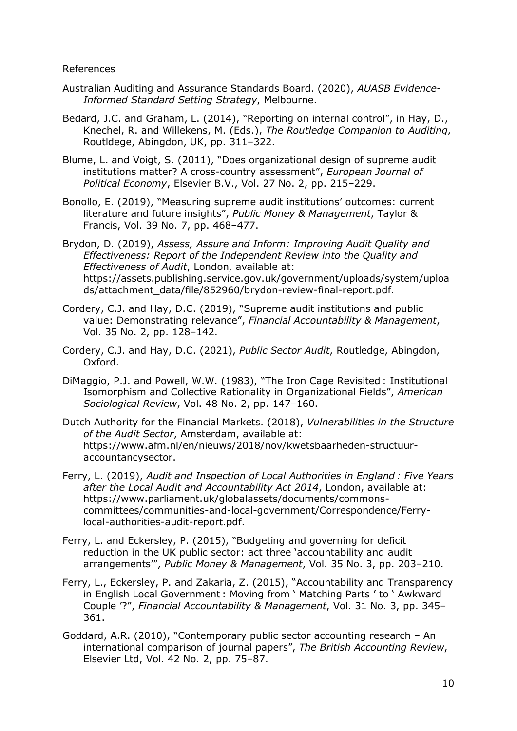#### References

- Australian Auditing and Assurance Standards Board. (2020), *AUASB Evidence-Informed Standard Setting Strategy*, Melbourne.
- Bedard, J.C. and Graham, L. (2014), "Reporting on internal control", in Hay, D., Knechel, R. and Willekens, M. (Eds.), *The Routledge Companion to Auditing*, Routldege, Abingdon, UK, pp. 311–322.
- Blume, L. and Voigt, S. (2011), "Does organizational design of supreme audit institutions matter? A cross-country assessment", *European Journal of Political Economy*, Elsevier B.V., Vol. 27 No. 2, pp. 215–229.
- Bonollo, E. (2019), "Measuring supreme audit institutions' outcomes: current literature and future insights", *Public Money & Management*, Taylor & Francis, Vol. 39 No. 7, pp. 468–477.

Brydon, D. (2019), *Assess, Assure and Inform: Improving Audit Quality and Effectiveness: Report of the Independent Review into the Quality and Effectiveness of Audit*, London, available at: https://assets.publishing.service.gov.uk/government/uploads/system/uploa ds/attachment\_data/file/852960/brydon-review-final-report.pdf.

- Cordery, C.J. and Hay, D.C. (2019), "Supreme audit institutions and public value: Demonstrating relevance", *Financial Accountability & Management*, Vol. 35 No. 2, pp. 128–142.
- Cordery, C.J. and Hay, D.C. (2021), *Public Sector Audit*, Routledge, Abingdon, Oxford.
- DiMaggio, P.J. and Powell, W.W. (1983), "The Iron Cage Revisited : Institutional Isomorphism and Collective Rationality in Organizational Fields", *American Sociological Review*, Vol. 48 No. 2, pp. 147–160.
- Dutch Authority for the Financial Markets. (2018), *Vulnerabilities in the Structure of the Audit Sector*, Amsterdam, available at: https://www.afm.nl/en/nieuws/2018/nov/kwetsbaarheden-structuuraccountancysector.
- Ferry, L. (2019), *Audit and Inspection of Local Authorities in England : Five Years after the Local Audit and Accountability Act 2014*, London, available at: https://www.parliament.uk/globalassets/documents/commonscommittees/communities-and-local-government/Correspondence/Ferrylocal-authorities-audit-report.pdf.
- Ferry, L. and Eckersley, P. (2015), "Budgeting and governing for deficit reduction in the UK public sector: act three 'accountability and audit arrangements'", *Public Money & Management*, Vol. 35 No. 3, pp. 203–210.
- Ferry, L., Eckersley, P. and Zakaria, Z. (2015), "Accountability and Transparency in English Local Government : Moving from ' Matching Parts ' to ' Awkward Couple '?", *Financial Accountability & Management*, Vol. 31 No. 3, pp. 345– 361.
- Goddard, A.R. (2010), "Contemporary public sector accounting research An international comparison of journal papers", *The British Accounting Review*, Elsevier Ltd, Vol. 42 No. 2, pp. 75–87.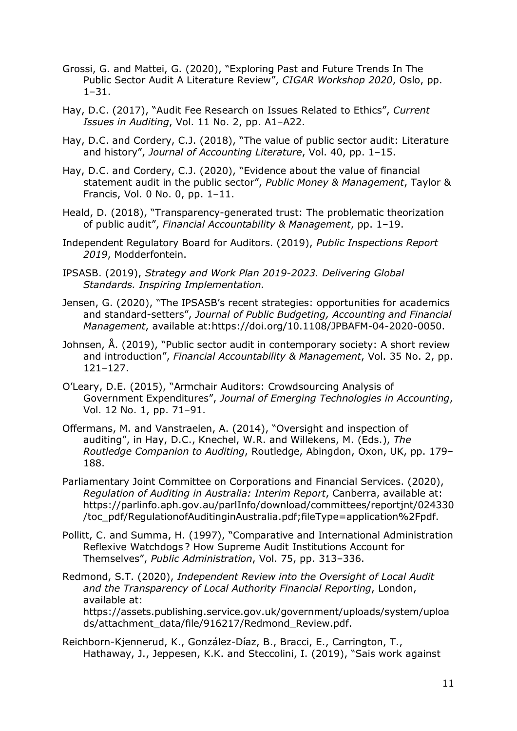- Grossi, G. and Mattei, G. (2020), "Exploring Past and Future Trends In The Public Sector Audit A Literature Review", *CIGAR Workshop 2020*, Oslo, pp. 1–31.
- Hay, D.C. (2017), "Audit Fee Research on Issues Related to Ethics", *Current Issues in Auditing*, Vol. 11 No. 2, pp. A1–A22.
- Hay, D.C. and Cordery, C.J. (2018), "The value of public sector audit: Literature and history", *Journal of Accounting Literature*, Vol. 40, pp. 1–15.
- Hay, D.C. and Cordery, C.J. (2020), "Evidence about the value of financial statement audit in the public sector", *Public Money & Management*, Taylor & Francis, Vol. 0 No. 0, pp. 1–11.
- Heald, D. (2018), "Transparency-generated trust: The problematic theorization of public audit", *Financial Accountability & Management*, pp. 1–19.
- Independent Regulatory Board for Auditors. (2019), *Public Inspections Report 2019*, Modderfontein.
- IPSASB. (2019), *Strategy and Work Plan 2019-2023. Delivering Global Standards. Inspiring Implementation.*
- Jensen, G. (2020), "The IPSASB's recent strategies: opportunities for academics and standard-setters", *Journal of Public Budgeting, Accounting and Financial Management*, available at:https://doi.org/10.1108/JPBAFM-04-2020-0050.
- Johnsen, Å. (2019), "Public sector audit in contemporary society: A short review and introduction", *Financial Accountability & Management*, Vol. 35 No. 2, pp. 121–127.
- O'Leary, D.E. (2015), "Armchair Auditors: Crowdsourcing Analysis of Government Expenditures", *Journal of Emerging Technologies in Accounting*, Vol. 12 No. 1, pp. 71–91.
- Offermans, M. and Vanstraelen, A. (2014), "Oversight and inspection of auditing", in Hay, D.C., Knechel, W.R. and Willekens, M. (Eds.), *The Routledge Companion to Auditing*, Routledge, Abingdon, Oxon, UK, pp. 179– 188.
- Parliamentary Joint Committee on Corporations and Financial Services. (2020), *Regulation of Auditing in Australia: Interim Report*, Canberra, available at: https://parlinfo.aph.gov.au/parlInfo/download/committees/reportjnt/024330 /toc\_pdf/RegulationofAuditinginAustralia.pdf;fileType=application%2Fpdf.
- Pollitt, C. and Summa, H. (1997), "Comparative and International Administration Reflexive Watchdogs ? How Supreme Audit Institutions Account for Themselves", *Public Administration*, Vol. 75, pp. 313–336.
- Redmond, S.T. (2020), *Independent Review into the Oversight of Local Audit and the Transparency of Local Authority Financial Reporting*, London, available at: https://assets.publishing.service.gov.uk/government/uploads/system/uploa ds/attachment\_data/file/916217/Redmond\_Review.pdf.
- Reichborn-Kjennerud, K., González-Díaz, B., Bracci, E., Carrington, T., Hathaway, J., Jeppesen, K.K. and Steccolini, I. (2019), "Sais work against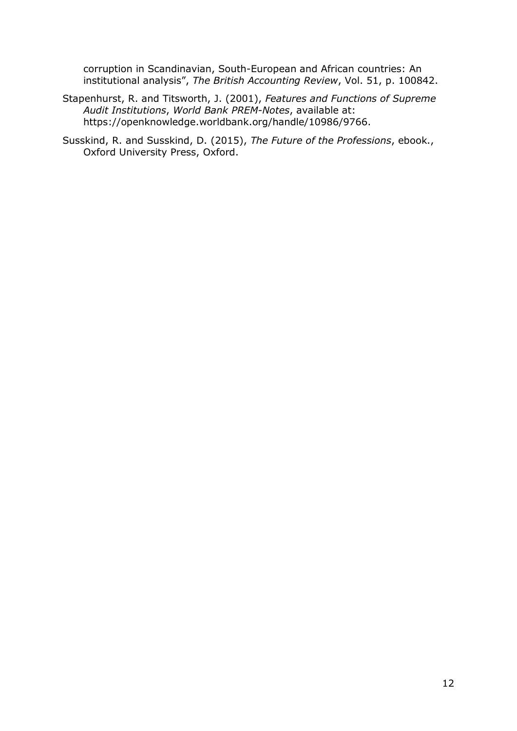corruption in Scandinavian, South-European and African countries: An institutional analysis", *The British Accounting Review*, Vol. 51, p. 100842.

- Stapenhurst, R. and Titsworth, J. (2001), *Features and Functions of Supreme Audit Institutions*, *World Bank PREM-Notes*, available at: https://openknowledge.worldbank.org/handle/10986/9766.
- Susskind, R. and Susskind, D. (2015), *The Future of the Professions*, ebook., Oxford University Press, Oxford.